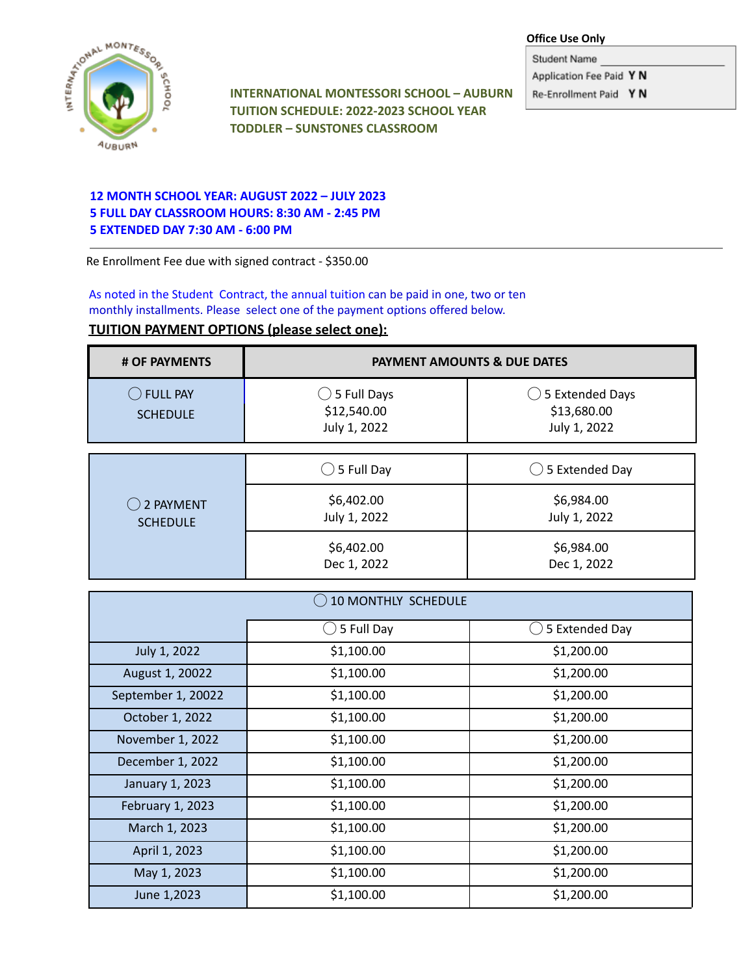#### **Office Use Only**

A MONTESSON AOOH<sub>2</sub>S **AUBURN** 

**INTERNATIONAL MONTESSORI SCHOOL – AUBURN TUITION SCHEDULE: 2022-2023 SCHOOL YEAR TODDLER – SUNSTONES CLASSROOM**

Student Name Application Fee Paid Y N

Re-Enrollment Paid Y N

# **12 MONTH SCHOOL YEAR: AUGUST 2022 – JULY 2023 5 FULL DAY CLASSROOM HOURS: 8:30 AM - 2:45 PM 5 EXTENDED DAY 7:30 AM - 6:00 PM**

Re Enrollment Fee due with signed contract - \$350.00

As noted in the Student Contract, the annual tuition can be paid in one, two or ten monthly installments. Please select one of the payment options offered below.

# **TUITION PAYMENT OPTIONS (please select one):**

| # OF PAYMENTS                 | <b>PAYMENT AMOUNTS &amp; DUE DATES</b>                |                                                           |
|-------------------------------|-------------------------------------------------------|-----------------------------------------------------------|
| C FULL PAY<br><b>SCHEDULE</b> | $\bigcirc$ 5 Full Days<br>\$12,540.00<br>July 1, 2022 | $\bigcirc$ 5 Extended Days<br>\$13,680.00<br>July 1, 2022 |
|                               |                                                       |                                                           |

| $\binom{1}{2}$ 2 PAYMENT<br><b>SCHEDULE</b> | $\bigcirc$ 5 Full Day      | $\bigcirc$ 5 Extended Day  |
|---------------------------------------------|----------------------------|----------------------------|
|                                             | \$6,402.00<br>July 1, 2022 | \$6,984.00<br>July 1, 2022 |
|                                             | \$6,402.00<br>Dec 1, 2022  | \$6,984.00<br>Dec 1, 2022  |

| <b>10 MONTHLY SCHEDULE</b> |                          |                |  |
|----------------------------|--------------------------|----------------|--|
|                            | 5 Full Day               | 5 Extended Day |  |
| July 1, 2022               | \$1,100.00               | \$1,200.00     |  |
| August 1, 20022            | \$1,100.00               | \$1,200.00     |  |
| September 1, 20022         | \$1,100.00               | \$1,200.00     |  |
| October 1, 2022            | \$1,100.00               | \$1,200.00     |  |
| November 1, 2022           | \$1,100.00               | \$1,200.00     |  |
| December 1, 2022           | \$1,100.00               | \$1,200.00     |  |
| January 1, 2023            | \$1,100.00<br>\$1,200.00 |                |  |
| February 1, 2023           | \$1,100.00               | \$1,200.00     |  |
| March 1, 2023              | \$1,100.00               | \$1,200.00     |  |
| April 1, 2023              | \$1,100.00               | \$1,200.00     |  |
| May 1, 2023                | \$1,100.00               | \$1,200.00     |  |
| June 1,2023                | \$1,100.00               | \$1,200.00     |  |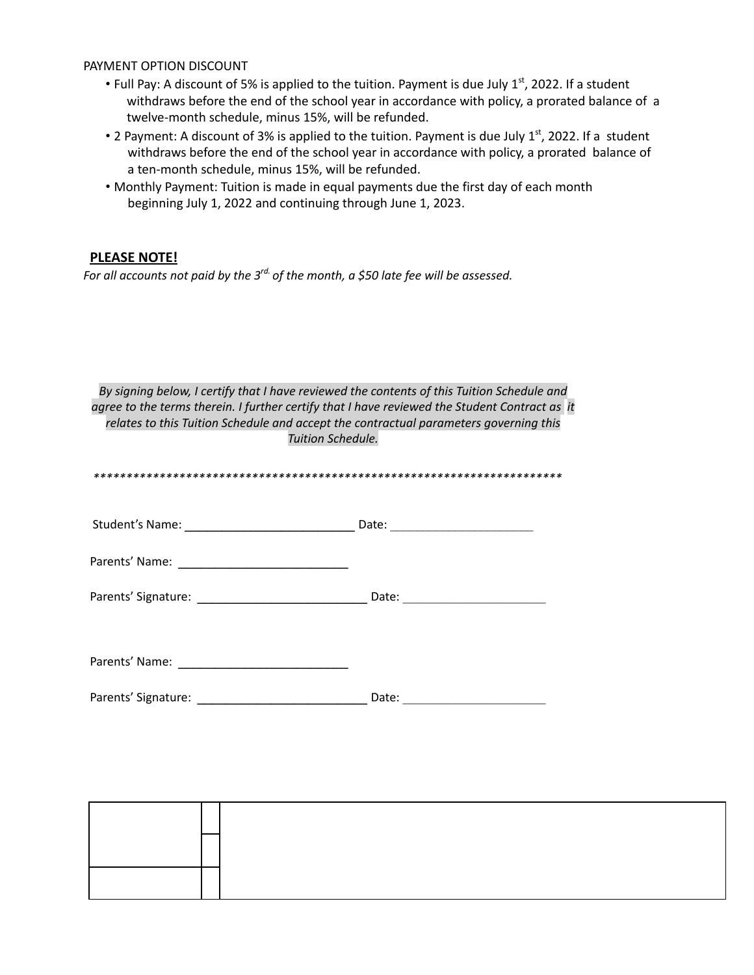### PAYMENT OPTION DISCOUNT

- Full Pay: A discount of 5% is applied to the tuition. Payment is due July 1st, 2022. If a student withdraws before the end of the school year in accordance with policy, a prorated balance of a twelve-month schedule, minus 15%, will be refunded.
- 2 Payment: A discount of 3% is applied to the tuition. Payment is due July 1<sup>st</sup>, 2022. If a student withdraws before the end of the school year in accordance with policy, a prorated balance of a ten-month schedule, minus 15%, will be refunded.
- . Monthly Payment: Tuition is made in equal payments due the first day of each month beginning July 1, 2022 and continuing through June 1, 2023.

# **PLEASE NOTE!**

For all accounts not paid by the  $3^{rd}$  of the month, a \$50 late fee will be assessed.

| By signing below, I certify that I have reviewed the contents of this Tuition Schedule and<br>agree to the terms therein. I further certify that I have reviewed the Student Contract as it<br>relates to this Tuition Schedule and accept the contractual parameters governing this<br>Tuition Schedule. |  |  |  |  |
|-----------------------------------------------------------------------------------------------------------------------------------------------------------------------------------------------------------------------------------------------------------------------------------------------------------|--|--|--|--|
|                                                                                                                                                                                                                                                                                                           |  |  |  |  |
|                                                                                                                                                                                                                                                                                                           |  |  |  |  |
|                                                                                                                                                                                                                                                                                                           |  |  |  |  |
|                                                                                                                                                                                                                                                                                                           |  |  |  |  |
|                                                                                                                                                                                                                                                                                                           |  |  |  |  |
|                                                                                                                                                                                                                                                                                                           |  |  |  |  |
|                                                                                                                                                                                                                                                                                                           |  |  |  |  |
|                                                                                                                                                                                                                                                                                                           |  |  |  |  |

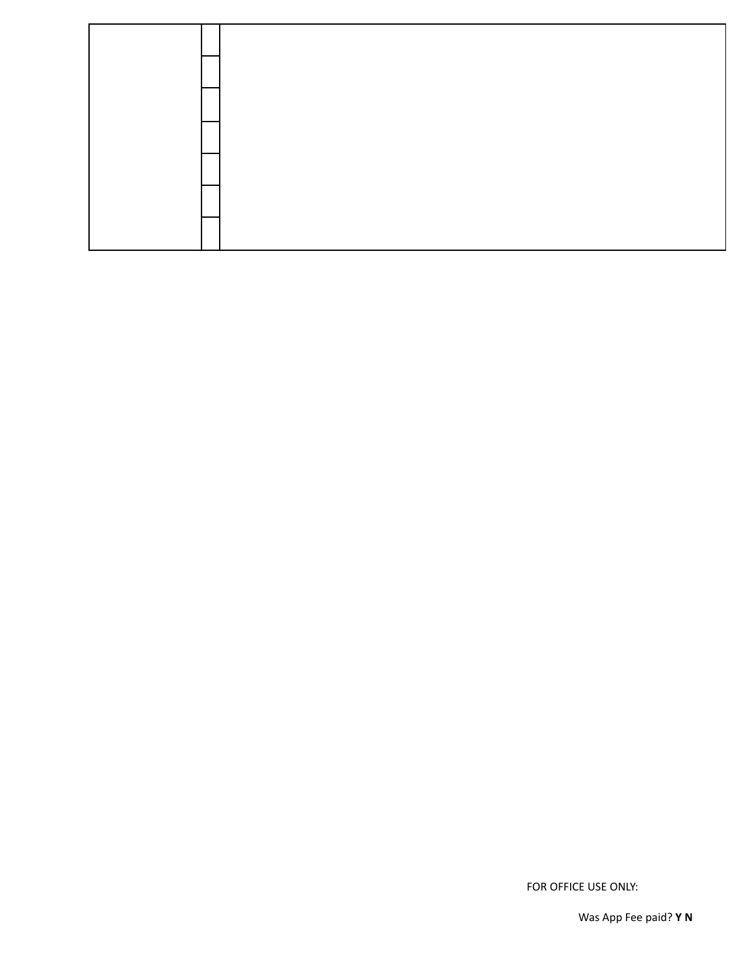FOR OFFICE USE ONLY:

Was App Fee paid? Y N